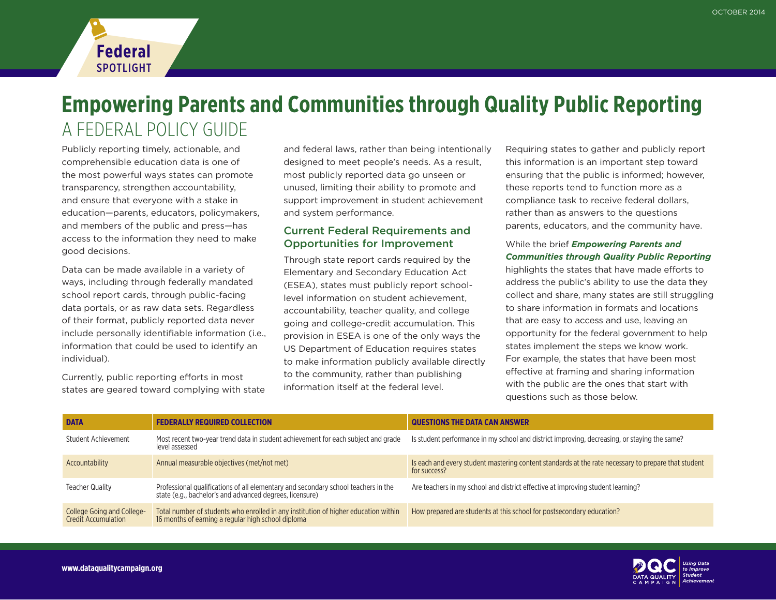

Publicly reporting timely, actionable, and comprehensible education data is one of the most powerful ways states can promote transparency, strengthen accountability, and ensure that everyone with a stake in education—parents, educators, policymakers, and members of the public and press—has access to the information they need to make good decisions.

**Federal** SPOTLIGHT

Data can be made available in a variety of ways, including through federally mandated school report cards, through public-facing data portals, or as raw data sets. Regardless of their format, publicly reported data never include personally identifiable information (i.e., information that could be used to identify an individual).

Currently, public reporting efforts in most states are geared toward complying with state and federal laws, rather than being intentionally designed to meet people's needs. As a result, most publicly reported data go unseen or unused, limiting their ability to promote and support improvement in student achievement and system performance.

## Current Federal Requirements and Opportunities for Improvement

Through state report cards required by the Elementary and Secondary Education Act (ESEA), states must publicly report schoollevel information on student achievement, accountability, teacher quality, and college going and college-credit accumulation. This provision in ESEA is one of the only ways the US Department of Education requires states to make information publicly available directly to the community, rather than publishing information itself at the federal level.

Requiring states to gather and publicly report this information is an important step toward ensuring that the public is informed; however, these reports tend to function more as a compliance task to receive federal dollars, rather than as answers to the questions parents, educators, and the community have.

### While the brief *[Empowering Parents and](http://www.dataqualitycampaign.org/PublicReporting)  [Communities through Quality Public Reporting](http://www.dataqualitycampaign.org/PublicReporting)*

highlights the states that have made efforts to address the public's ability to use the data they collect and share, many states are still struggling to share information in formats and locations that are easy to access and use, leaving an opportunity for the federal government to help states implement the steps we know work. For example, the states that have been most effective at framing and sharing information with the public are the ones that start with questions such as those below.

| <b>DATA</b>                                              | <b>FEDERALLY REQUIRED COLLECTION</b>                                                                                                           | QUESTIONS THE DATA CAN ANSWER                                                                                       |
|----------------------------------------------------------|------------------------------------------------------------------------------------------------------------------------------------------------|---------------------------------------------------------------------------------------------------------------------|
| Student Achievement                                      | Most recent two-year trend data in student achievement for each subject and grade<br>level assessed                                            | Is student performance in my school and district improving, decreasing, or staying the same?                        |
| Accountability                                           | Annual measurable objectives (met/not met)                                                                                                     | Is each and every student mastering content standards at the rate necessary to prepare that student<br>for success? |
| <b>Teacher Quality</b>                                   | Professional qualifications of all elementary and secondary school teachers in the<br>state (e.g., bachelor's and advanced degrees, licensure) | Are teachers in my school and district effective at improving student learning?                                     |
| College Going and College-<br><b>Credit Accumulation</b> | Total number of students who enrolled in any institution of higher education within<br>16 months of earning a regular high school diploma      | How prepared are students at this school for postsecondary education?                                               |